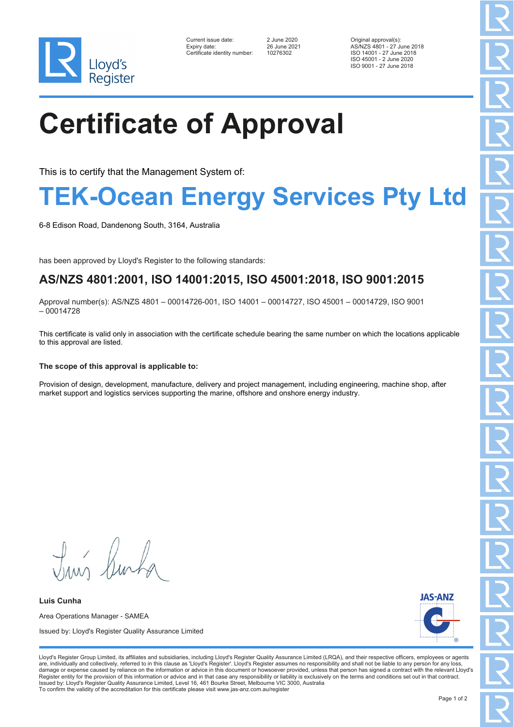

| Current issue date:         |
|-----------------------------|
| Expiry date:                |
| Certificate identity number |

Certificate identity number: 10276302

Current issue date: 2 June 2020 Original approval(s): Expiry date: 26 June 2021 AS/NZS 4801 - 27 June 2018 ISO 14001 - 27 June 2018 ISO 45001 - 2 June 2020 ISO 9001 - 27 June 2018

# **Certificate of Approval**

This is to certify that the Management System of:

### **TEK-Ocean Energy Services Pty Ltd**

6-8 Edison Road, Dandenong South, 3164, Australia

has been approved by Lloyd's Register to the following standards:

### **AS/NZS 4801:2001, ISO 14001:2015, ISO 45001:2018, ISO 9001:2015**

Approval number(s): AS/NZS 4801 – 00014726-001, ISO 14001 – 00014727, ISO 45001 – 00014729, ISO 9001  $-00014728$ 

This certificate is valid only in association with the certificate schedule bearing the same number on which the locations applicable to this approval are listed.

### **The scope of this approval is applicable to:**

Provision of design, development, manufacture, delivery and project management, including engineering, machine shop, after market support and logistics services supporting the marine, offshore and onshore energy industry.

Tum Rusha

**Luis Cunha** Area Operations Manager - SAMEA Issued by: Lloyd's Register Quality Assurance Limited



Lloyd's Register Group Limited, its affiliates and subsidiaries, including Lloyd's Register Quality Assurance Limited (LRQA), and their respective officers, employees or agents are, individually and collectively, referred to in this clause as 'Lloyd's Register'. Lloyd's Register assumes no responsibility and shall not be liable to any person for any los damage or expense caused by reliance on the information or advice in this document or howsoever provided, unless that person has signed a contract with the relevant Lloyd's<br>Register entity for the provision of this informa Issued by: Lloyd's Register Quality Assurance Limited, Level 16, 461 Bourke Street, Melbourne VIC 3000, Australia To confirm the validity of the accreditation for this certificate please visit www.jas-anz.com.au/register